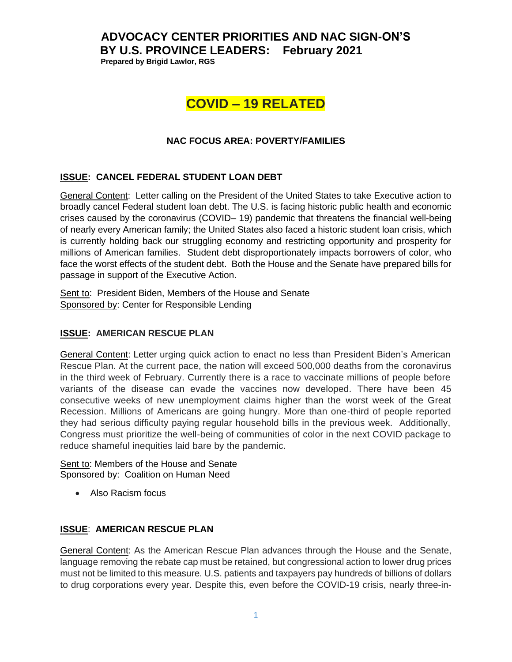# **ADVOCACY CENTER PRIORITIES AND NAC SIGN-ON'S BY U.S. PROVINCE LEADERS: February 2021**

 **Prepared by Brigid Lawlor, RGS**

# **COVID – 19 RELATED**

# **NAC FOCUS AREA: POVERTY/FAMILIES**

# **ISSUE: CANCEL FEDERAL STUDENT LOAN DEBT**

General Content: Letter calling on the President of the United States to take Executive action to broadly cancel Federal student loan debt. The U.S. is facing historic public health and economic crises caused by the coronavirus (COVID– 19) pandemic that threatens the financial well-being of nearly every American family; the United States also faced a historic student loan crisis, which is currently holding back our struggling economy and restricting opportunity and prosperity for millions of American families. Student debt disproportionately impacts borrowers of color, who face the worst effects of the student debt. Both the House and the Senate have prepared bills for passage in support of the Executive Action.

Sent to: President Biden, Members of the House and Senate Sponsored by: Center for Responsible Lending

# **ISSUE: AMERICAN RESCUE PLAN**

General Content: Letter urging quick action to enact no less than President Biden's American Rescue Plan. At the current pace, the nation will exceed 500,000 deaths from the coronavirus in the third week of February. Currently there is a race to vaccinate millions of people before variants of the disease can evade the vaccines now developed. There have been 45 consecutive weeks of new unemployment claims higher than the worst week of the Great Recession. Millions of Americans are going hungry. More than one-third of people reported they had serious difficulty paying regular household bills in the previous week. Additionally, Congress must prioritize the well-being of communities of color in the next COVID package to reduce shameful inequities laid bare by the pandemic.

Sent to: Members of the House and Senate Sponsored by: Coalition on Human Need

• Also Racism focus

## **ISSUE**: **AMERICAN RESCUE PLAN**

General Content: As the American Rescue Plan advances through the House and the Senate, language removing the rebate cap must be retained, but congressional action to lower drug prices must not be limited to this measure. U.S. patients and taxpayers pay hundreds of billions of dollars to drug corporations every year. Despite this, even before the COVID-19 crisis, nearly three-in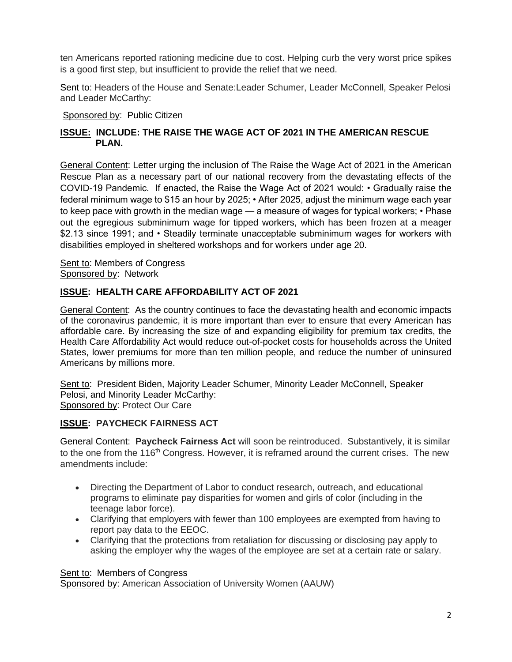ten Americans reported rationing medicine due to cost. Helping curb the very worst price spikes is a good first step, but insufficient to provide the relief that we need.

Sent to: Headers of the House and Senate:Leader Schumer, Leader McConnell, Speaker Pelosi and Leader McCarthy:

Sponsored by: Public Citizen

# **ISSUE: INCLUDE: THE RAISE THE WAGE ACT OF 2021 IN THE AMERICAN RESCUE PLAN.**

General Content: Letter urging the inclusion of The Raise the Wage Act of 2021 in the American Rescue Plan as a necessary part of our national recovery from the devastating effects of the COVID-19 Pandemic. If enacted, the Raise the Wage Act of 2021 would: • Gradually raise the federal minimum wage to \$15 an hour by 2025; • After 2025, adjust the minimum wage each year to keep pace with growth in the median wage — a measure of wages for typical workers; • Phase out the egregious subminimum wage for tipped workers, which has been frozen at a meager \$2.13 since 1991; and • Steadily terminate unacceptable subminimum wages for workers with disabilities employed in sheltered workshops and for workers under age 20.

Sent to: Members of Congress Sponsored by: Network

# **ISSUE: HEALTH CARE AFFORDABILITY ACT OF 2021**

General Content: As the country continues to face the devastating health and economic impacts of the coronavirus pandemic, it is more important than ever to ensure that every American has affordable care. By increasing the size of and expanding eligibility for premium tax credits, the Health Care Affordability Act would reduce out-of-pocket costs for households across the United States, lower premiums for more than ten million people, and reduce the number of uninsured Americans by millions more.

Sent to: President Biden, Majority Leader Schumer, Minority Leader McConnell, Speaker Pelosi, and Minority Leader McCarthy: Sponsored by: Protect Our Care

## **ISSUE: PAYCHECK FAIRNESS ACT**

General Content: **Paycheck Fairness Act** will soon be reintroduced. Substantively, it is similar to the one from the 116<sup>th</sup> Congress. However, it is reframed around the current crises. The new amendments include:

- Directing the Department of Labor to conduct research, outreach, and educational programs to eliminate pay disparities for women and girls of color (including in the teenage labor force).
- Clarifying that employers with fewer than 100 employees are exempted from having to report pay data to the EEOC.
- Clarifying that the protections from retaliation for discussing or disclosing pay apply to asking the employer why the wages of the employee are set at a certain rate or salary.

Sent to: Members of Congress

Sponsored by: American Association of University Women (AAUW)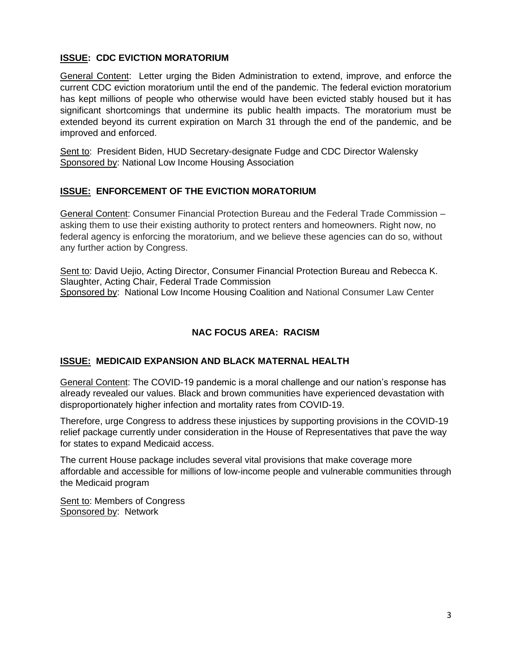# **ISSUE: CDC EVICTION MORATORIUM**

General Content: Letter urging the Biden Administration to extend, improve, and enforce the current CDC eviction moratorium until the end of the pandemic. The federal eviction moratorium has kept millions of people who otherwise would have been evicted stably housed but it has significant shortcomings that undermine its public health impacts. The moratorium must be extended beyond its current expiration on March 31 through the end of the pandemic, and be improved and enforced.

Sent to: President Biden, HUD Secretary-designate Fudge and CDC Director Walensky Sponsored by: National Low Income Housing Association

# **ISSUE: ENFORCEMENT OF THE EVICTION MORATORIUM**

General Content: Consumer Financial Protection Bureau and the Federal Trade Commission – asking them to use their existing authority to protect renters and homeowners. Right now, no federal agency is enforcing the moratorium, and we believe these agencies can do so, without any further action by Congress.

Sent to: David Uejio, Acting Director, Consumer Financial Protection Bureau and Rebecca K. Slaughter, Acting Chair, Federal Trade Commission Sponsored by: National Low Income Housing Coalition and National Consumer Law Center

# **NAC FOCUS AREA: RACISM**

## **ISSUE: MEDICAID EXPANSION AND BLACK MATERNAL HEALTH**

General Content: The COVID-19 pandemic is a moral challenge and our nation's response has already revealed our values. Black and brown communities have experienced devastation with disproportionately higher infection and mortality rates from COVID-19.

Therefore, urge Congress to address these injustices by supporting provisions in the COVID-19 relief package currently under consideration in the House of Representatives that pave the way for states to expand Medicaid access.

The current House package includes several vital provisions that make coverage more affordable and accessible for millions of low-income people and vulnerable communities through the Medicaid program

Sent to: Members of Congress Sponsored by: Network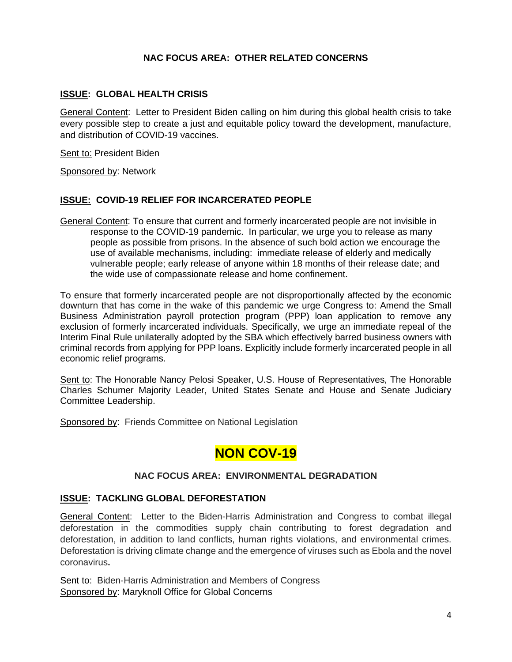# **NAC FOCUS AREA: OTHER RELATED CONCERNS**

## **ISSUE: GLOBAL HEALTH CRISIS**

General Content: Letter to President Biden calling on him during this global health crisis to take every possible step to create a just and equitable policy toward the development, manufacture, and distribution of COVID-19 vaccines.

Sent to: President Biden

Sponsored by: Network

#### **ISSUE: COVID-19 RELIEF FOR INCARCERATED PEOPLE**

General Content: To ensure that current and formerly incarcerated people are not invisible in response to the COVID-19 pandemic. In particular, we urge you to release as many people as possible from prisons. In the absence of such bold action we encourage the use of available mechanisms, including: immediate release of elderly and medically vulnerable people; early release of anyone within 18 months of their release date; and the wide use of compassionate release and home confinement.

To ensure that formerly incarcerated people are not disproportionally affected by the economic downturn that has come in the wake of this pandemic we urge Congress to: Amend the Small Business Administration payroll protection program (PPP) loan application to remove any exclusion of formerly incarcerated individuals. Specifically, we urge an immediate repeal of the Interim Final Rule unilaterally adopted by the SBA which effectively barred business owners with criminal records from applying for PPP loans. Explicitly include formerly incarcerated people in all economic relief programs.

Sent to: The Honorable Nancy Pelosi Speaker, U.S. House of Representatives, The Honorable Charles Schumer Majority Leader, United States Senate and House and Senate Judiciary Committee Leadership.

Sponsored by: Friends Committee on National Legislation

# **NON COV-19**

#### **NAC FOCUS AREA: ENVIRONMENTAL DEGRADATION**

## **ISSUE: TACKLING GLOBAL DEFORESTATION**

General Content: Letter to the Biden-Harris Administration and Congress to combat illegal deforestation in the commodities supply chain contributing to forest degradation and deforestation, in addition to land conflicts, human rights violations, and environmental crimes. Deforestation is driving climate change and the emergence of viruses such as Ebola and the novel coronavirus**.**

Sent to: Biden-Harris Administration and Members of Congress Sponsored by: Maryknoll Office for Global Concerns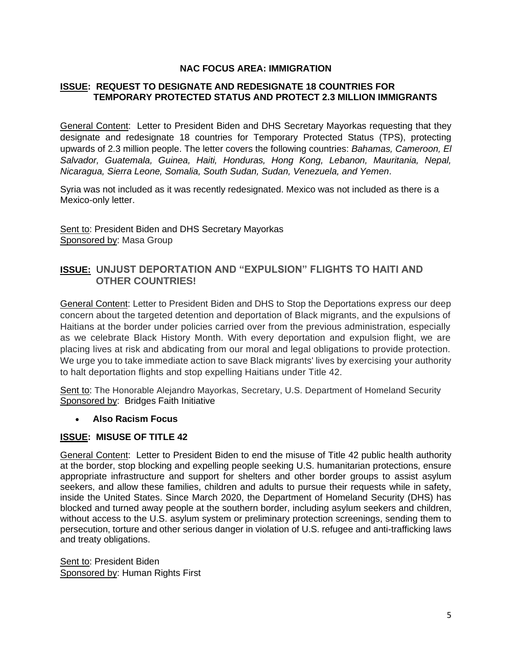## **NAC FOCUS AREA: IMMIGRATION**

## **ISSUE: REQUEST TO DESIGNATE AND REDESIGNATE 18 COUNTRIES FOR TEMPORARY PROTECTED STATUS AND PROTECT 2.3 MILLION IMMIGRANTS**

General Content: Letter to President Biden and DHS Secretary Mayorkas requesting that they designate and redesignate 18 countries for Temporary Protected Status (TPS), protecting upwards of [2.3 million people.](https://bit.ly/TPSChart) The letter covers the following countries: *Bahamas, Cameroon, El Salvador, Guatemala, Guinea, Haiti, Honduras, Hong Kong, Lebanon, Mauritania, Nepal, Nicaragua, Sierra Leone, Somalia, South Sudan, Sudan, Venezuela, and Yemen*.

Syria was not included as it was [recently redesignated.](https://www.dhs.gov/news/2021/01/29/acting-dhs-secretary-pekoske-extends-temporary-protected-status-syria) Mexico was not included as there is a Mexico-only [letter.](https://bit.ly/TPS4MXform)

Sent to: President Biden and DHS Secretary Mayorkas Sponsored by: Masa Group

# **ISSUE:** U**NJUST DEPORTATION AND "EXPULSION" FLIGHTS TO HAITI AND OTHER COUNTRIES!**

General Content: Letter to President Biden and DHS to Stop the Deportations express our deep concern about the targeted detention and deportation of Black migrants, and the expulsions of Haitians at the border under policies carried over from the previous administration, especially as we celebrate Black History Month. With every deportation and expulsion flight, we are placing lives at risk and abdicating from our moral and legal obligations to provide protection. We urge you to take immediate action to save Black migrants' lives by exercising your authority to halt deportation flights and stop expelling Haitians under Title 42.

Sent to: The Honorable Alejandro Mayorkas, Secretary, U.S. Department of Homeland Security Sponsored by: Bridges Faith Initiative

#### • **Also Racism Focus**

## **ISSUE: MISUSE OF TITLE 42**

General Content: Letter to President Biden to end the misuse of Title 42 public health authority at the border, stop blocking and expelling people seeking U.S. humanitarian protections, ensure appropriate infrastructure and support for shelters and other border groups to assist asylum seekers, and allow these families, children and adults to pursue their requests while in safety, inside the United States. Since March 2020, the Department of Homeland Security (DHS) has blocked and turned away people at the southern border, including asylum seekers and children, without access to the U.S. asylum system or preliminary protection screenings, sending them to persecution, torture and other serious danger in violation of U.S. refugee and anti-trafficking laws and treaty obligations.

Sent to: President Biden Sponsored by: Human Rights First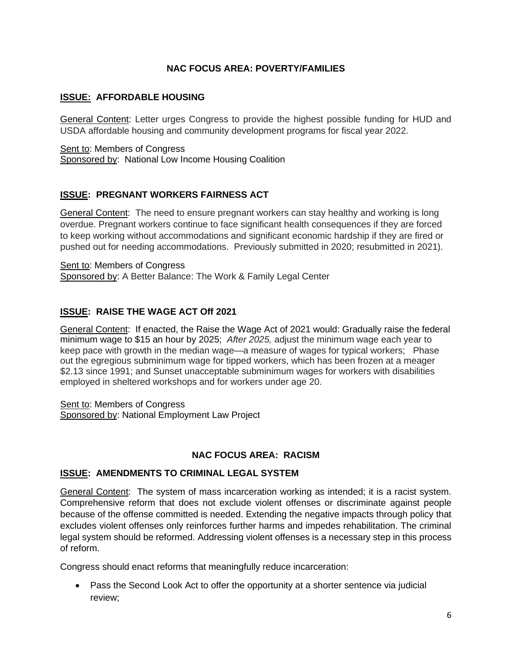# **NAC FOCUS AREA: POVERTY/FAMILIES**

# **ISSUE: AFFORDABLE HOUSING**

General Content: Letter urges Congress to provide the highest possible funding for HUD and USDA affordable housing and community development programs for fiscal year 2022.

Sent to: Members of Congress Sponsored by: National Low Income Housing Coalition

# **ISSUE: PREGNANT WORKERS FAIRNESS ACT**

General Content: The need to ensure pregnant workers can stay healthy and working is long overdue. Pregnant workers continue to face significant health consequences if they are forced to keep working without accommodations and significant economic hardship if they are fired or pushed out for needing accommodations. Previously submitted in 2020; resubmitted in 2021).

Sent to: Members of Congress Sponsored by: A Better Balance: The Work & Family Legal Center

# **ISSUE: RAISE THE WAGE ACT Off 2021**

General Content: If enacted, the Raise the Wage Act of 2021 would: Gradually raise the federal minimum wage to \$15 an hour by 2025; *After 2025,* adjust the minimum wage each year to keep pace with growth in the median wage—a measure of wages for typical workers; Phase out the egregious subminimum wage for tipped workers, which has been frozen at a meager \$2.13 since 1991; and Sunset unacceptable subminimum wages for workers with disabilities employed in sheltered workshops and for workers under age 20.

Sent to: Members of Congress Sponsored by: National Employment Law Project

## **NAC FOCUS AREA: RACISM**

## **ISSUE: AMENDMENTS TO CRIMINAL LEGAL SYSTEM**

General Content: The system of mass incarceration working as intended; it is a racist system. Comprehensive reform that does not exclude violent offenses or discriminate against people because of the offense committed is needed. Extending the negative impacts through policy that excludes violent offenses only reinforces further harms and impedes rehabilitation. The criminal legal system should be reformed. Addressing violent offenses is a necessary step in this process of reform.

Congress should enact reforms that meaningfully reduce incarceration:

• Pass the Second Look Act to offer the opportunity at a shorter sentence via judicial review;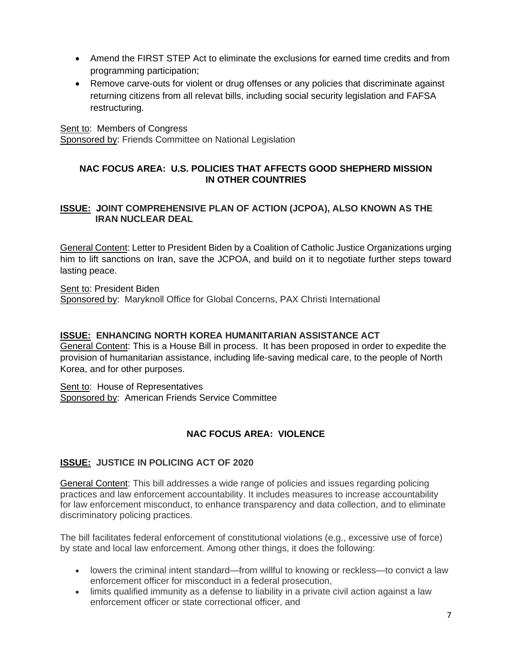- Amend the FIRST STEP Act to eliminate the exclusions for earned time credits and from programming participation;
- Remove carve-outs for violent or drug offenses or any policies that discriminate against returning citizens from all relevat bills, including social security legislation and FAFSA restructuring.

Sent to: Members of Congress

Sponsored by: Friends Committee on National Legislation

# **NAC FOCUS AREA: U.S. POLICIES THAT AFFECTS GOOD SHEPHERD MISSION IN OTHER COUNTRIES**

# **ISSUE: JOINT COMPREHENSIVE PLAN OF ACTION (JCPOA), ALSO KNOWN AS THE IRAN NUCLEAR DEAL**

General Content: Letter to President Biden by a Coalition of Catholic Justice Organizations urging him to lift sanctions on Iran, save the JCPOA, and build on it to negotiate further steps toward lasting peace.

Sent to: President Biden Sponsored by: Maryknoll Office for Global Concerns, PAX Christi International

# **ISSUE: ENHANCING NORTH KOREA HUMANITARIAN ASSISTANCE ACT**

General Content: This is a House Bill in process. It has been proposed in order to expedite the provision of humanitarian assistance, including life-saving medical care, to the people of North Korea, and for other purposes.

Sent to: House of Representatives Sponsored by: American Friends Service Committee

# **NAC FOCUS AREA: VIOLENCE**

# **ISSUE: JUSTICE IN POLICING ACT OF 2020**

General Content: This bill addresses a wide range of policies and issues regarding policing practices and law enforcement accountability. It includes measures to increase accountability for law enforcement misconduct, to enhance transparency and data collection, and to eliminate discriminatory policing practices.

The bill facilitates federal enforcement of constitutional violations (e.g., excessive use of force) by state and local law enforcement. Among other things, it does the following:

- lowers the criminal intent standard—from willful to knowing or reckless—to convict a law enforcement officer for misconduct in a federal prosecution,
- limits qualified immunity as a defense to liability in a private civil action against a law enforcement officer or state correctional officer, and